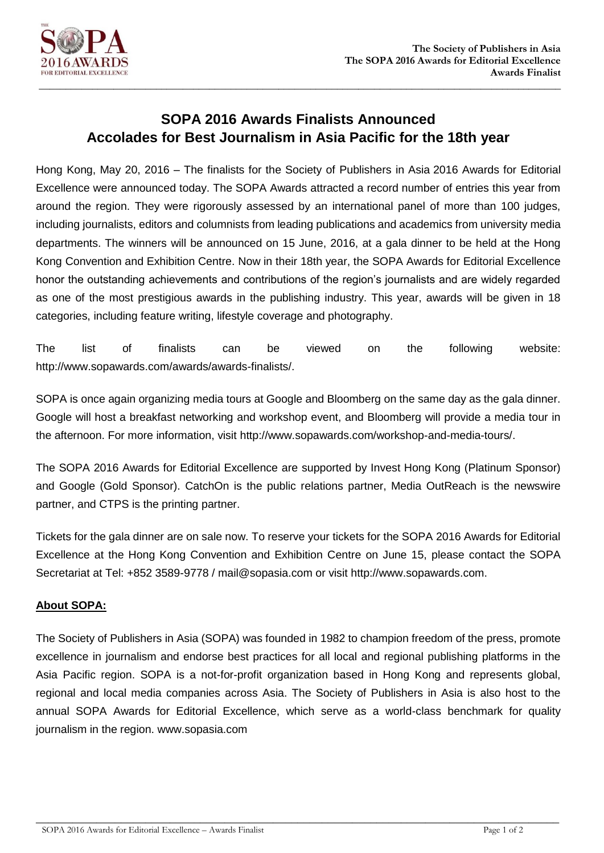

## **SOPA 2016 Awards Finalists Announced Accolades for Best Journalism in Asia Pacific for the 18th year**

**\_\_\_\_\_\_\_\_\_\_\_\_\_\_\_\_\_\_\_\_\_\_\_\_\_\_\_\_\_\_\_\_\_\_\_\_\_\_\_\_\_\_\_\_\_\_\_\_\_\_\_\_\_\_\_\_\_\_\_\_\_\_\_\_\_\_\_\_\_\_\_\_\_\_\_\_\_\_\_\_\_\_\_\_\_\_\_\_\_\_\_\_\_\_\_\_\_\_**

Hong Kong, May 20, 2016 – The finalists for the Society of Publishers in Asia 2016 Awards for Editorial Excellence were announced today. The SOPA Awards attracted a record number of entries this year from around the region. They were rigorously assessed by an international panel of more than 100 judges, including journalists, editors and columnists from leading publications and academics from university media departments. The winners will be announced on 15 June, 2016, at a gala dinner to be held at the Hong Kong Convention and Exhibition Centre. Now in their 18th year, the SOPA Awards for Editorial Excellence honor the outstanding achievements and contributions of the region's journalists and are widely regarded as one of the most prestigious awards in the publishing industry. This year, awards will be given in 18 categories, including feature writing, lifestyle coverage and photography.

The list of finalists can be viewed on the following website: [http://www.sopawards.com/awards/awards-finalists/.](http://www.sopawards.com/awards/awards-finalists/)

SOPA is once again organizing media tours at Google and Bloomberg on the same day as the gala dinner. Google will host a breakfast networking and workshop event, and Bloomberg will provide a media tour in the afternoon. For more information, visit [http://www.sopawards.com/workshop-and-media-tours/.](http://www.sopawards.com/workshop-and-media-tours/)

The SOPA 2016 Awards for Editorial Excellence are supported by Invest Hong Kong (Platinum Sponsor) and Google (Gold Sponsor). CatchOn is the public relations partner, Media OutReach is the newswire partner, and CTPS is the printing partner.

Tickets for the gala dinner are on sale now. To reserve your tickets for the SOPA 2016 Awards for Editorial Excellence at the Hong Kong Convention and Exhibition Centre on June 15, please contact the SOPA Secretariat at Tel: +852 3589-9778 / mail@sopasia.com or visit http://www.sopawards.com.

## **About SOPA:**

The Society of Publishers in Asia (SOPA) was founded in 1982 to champion freedom of the press, promote excellence in journalism and endorse best practices for all local and regional publishing platforms in the Asia Pacific region. SOPA is a not-for-profit organization based in Hong Kong and represents global, regional and local media companies across Asia. The Society of Publishers in Asia is also host to the annual SOPA Awards for Editorial Excellence, which serve as a world-class benchmark for quality journalism in the region. [www.sopasia.com](http://www.sopasia.com/)